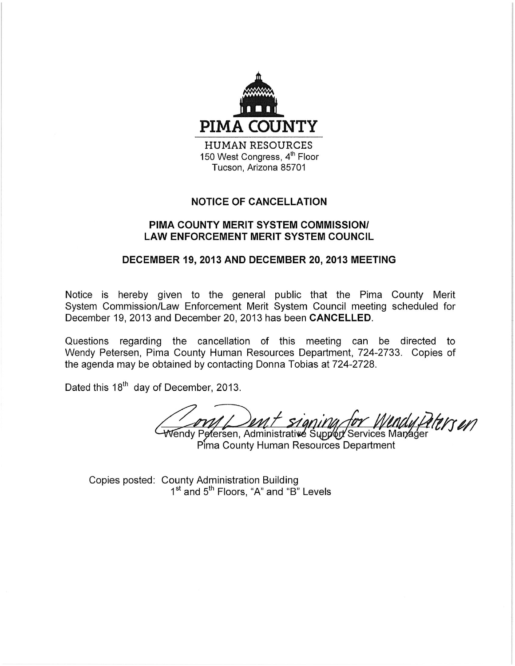

Tucson, Arizona 85701

# **NOTICE OF CANCELLATION**

## PIMA COUNTY MERIT SYSTEM COMMISSION/ **LAW ENFORCEMENT MERIT SYSTEM COUNCIL**

## DECEMBER 19, 2013 AND DECEMBER 20, 2013 MEETING

Notice is hereby given to the general public that the Pima County Merit System Commission/Law Enforcement Merit System Council meeting scheduled for December 19, 2013 and December 20, 2013 has been CANCELLED.

Questions regarding the cancellation of this meeting can be directed to Wendy Petersen, Pima County Human Resources Department, 724-2733. Copies of the agenda may be obtained by contacting Donna Tobias at 724-2728.

Dated this 18<sup>th</sup> day of December, 2013.

ent signing rrsen

Wendy Petersen, Administrative Supp∕ort Services Manager Pima County Human Resources Department

Copies posted: County Administration Building 1<sup>st</sup> and 5<sup>th</sup> Floors, "A" and "B" Levels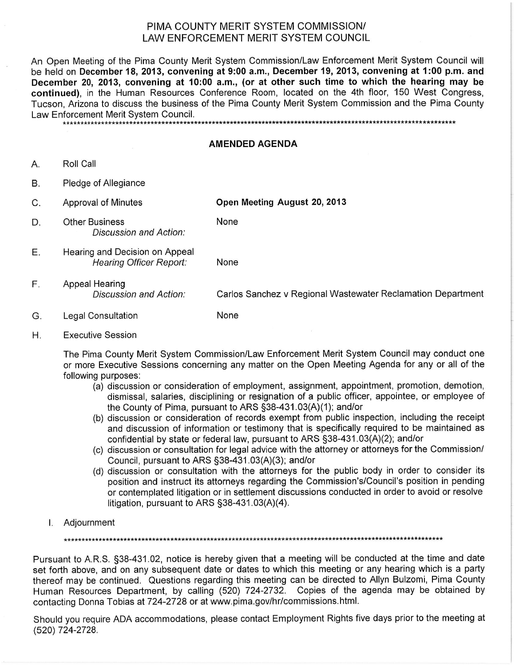## PIMA COUNTY MERIT SYSTEM COMMISSION/ LAW ENFORCEMENT MERIT SYSTEM COUNCIL

An Open Meeting of the Pima County Merit System Commission/Law Enforcement Merit System Council will be held on December 18, 2013, convening at 9:00 a.m., December 19, 2013, convening at 1:00 p.m. and December 20, 2013, convening at 10:00 a.m., (or at other such time to which the hearing may be continued), in the Human Resources Conference Room, located on the 4th floor, 150 West Congress, Tucson. Arizona to discuss the business of the Pima County Merit System Commission and the Pima County Law Enforcement Merit System Council.

\*\*\*\*\*\*\*\*\*\*\*\*\*\*\*\*\*\*\*\*\*\*\*\*\*\*\*\*\*\* 

#### **AMENDED AGENDA**

- Roll Call А.
- **B.** Pledge of Allegiance
- $C_{\cdot}$ Approval of Minutes

Open Meeting August 20, 2013

- D. **Other Business** Discussion and Action:
- Hearing and Decision on Appeal Е. **Hearing Officer Report:**

None

None

- F. Appeal Hearing Discussion and Action: Carlos Sanchez v Regional Wastewater Reclamation Department
- G. **Legal Consultation** None
- **Executive Session** Η.

The Pima County Merit System Commission/Law Enforcement Merit System Council may conduct one or more Executive Sessions concerning any matter on the Open Meeting Agenda for any or all of the following purposes:

- (a) discussion or consideration of employment, assignment, appointment, promotion, demotion, dismissal, salaries, disciplining or resignation of a public officer, appointee, or employee of the County of Pima, pursuant to ARS §38-431.03(A)(1); and/or
- (b) discussion or consideration of records exempt from public inspection, including the receipt and discussion of information or testimony that is specifically required to be maintained as confidential by state or federal law, pursuant to ARS §38-431.03(A)(2); and/or
- (c) discussion or consultation for legal advice with the attorney or attorneys for the Commission/ Council, pursuant to ARS §38-431.03(A)(3); and/or
- (d) discussion or consultation with the attorneys for the public body in order to consider its position and instruct its attorneys regarding the Commission's/Council's position in pending or contemplated litigation or in settlement discussions conducted in order to avoid or resolve litigation, pursuant to ARS  $\S$ 38-431.03(A)(4).
- I. Adjournment

Pursuant to A.R.S. §38-431.02, notice is hereby given that a meeting will be conducted at the time and date set forth above, and on any subsequent date or dates to which this meeting or any hearing which is a party thereof may be continued. Questions regarding this meeting can be directed to Allyn Bulzomi, Pima County Human Resources Department, by calling (520) 724-2732. Copies of the agenda may be obtained by contacting Donna Tobias at 724-2728 or at www.pima.gov/hr/commissions.html.

Should you require ADA accommodations, please contact Employment Rights five days prior to the meeting at (520) 724-2728.